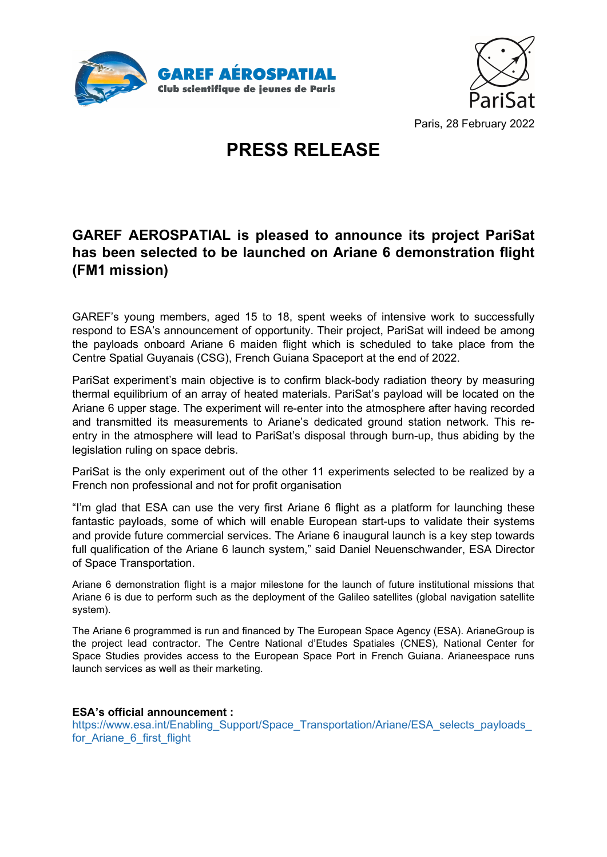



# PRESS RELEASE

# GAREF AEROSPATIAL is pleased to announce its project PariSat has been selected to be launched on Ariane 6 demonstration flight (FM1 mission)

GAREF's young members, aged 15 to 18, spent weeks of intensive work to successfully respond to ESA's announcement of opportunity. Their project, PariSat will indeed be among the payloads onboard Ariane 6 maiden flight which is scheduled to take place from the Centre Spatial Guyanais (CSG), French Guiana Spaceport at the end of 2022.

PariSat experiment's main objective is to confirm black-body radiation theory by measuring thermal equilibrium of an array of heated materials. PariSat's payload will be located on the Ariane 6 upper stage. The experiment will re-enter into the atmosphere after having recorded and transmitted its measurements to Ariane's dedicated ground station network. This reentry in the atmosphere will lead to PariSat's disposal through burn-up, thus abiding by the legislation ruling on space debris.

PariSat is the only experiment out of the other 11 experiments selected to be realized by a French non professional and not for profit organisation

"I'm glad that ESA can use the very first Ariane 6 flight as a platform for launching these fantastic payloads, some of which will enable European start-ups to validate their systems and provide future commercial services. The Ariane 6 inaugural launch is a key step towards full qualification of the Ariane 6 launch system," said Daniel Neuenschwander, ESA Director of Space Transportation.

Ariane 6 demonstration flight is a major milestone for the launch of future institutional missions that Ariane 6 is due to perform such as the deployment of the Galileo satellites (global navigation satellite system).

The Ariane 6 programmed is run and financed by The European Space Agency (ESA). ArianeGroup is the project lead contractor. The Centre National d'Etudes Spatiales (CNES), National Center for Space Studies provides access to the European Space Port in French Guiana. Arianeespace runs launch services as well as their marketing.

#### ESA's official announcement :

https://www.esa.int/Enabling\_Support/Space\_Transportation/Ariane/ESA\_selects\_payloads for Ariane 6 first flight